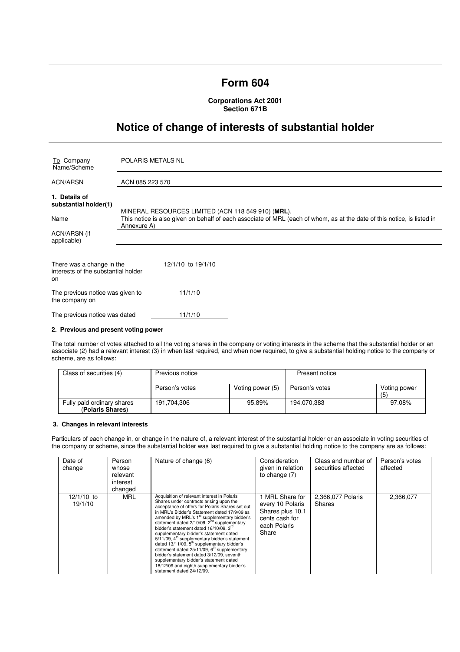# **Form 604**

**Corporations Act 2001 Section 671B** 

# **Notice of change of interests of substantial holder**

| To Company<br>Name/Scheme                                              | <b>POLARIS METALS NL</b>                                                                                                                                                                     |  |  |
|------------------------------------------------------------------------|----------------------------------------------------------------------------------------------------------------------------------------------------------------------------------------------|--|--|
| <b>ACN/ARSN</b>                                                        | ACN 085 223 570                                                                                                                                                                              |  |  |
| 1. Details of<br>substantial holder(1)                                 |                                                                                                                                                                                              |  |  |
| Name                                                                   | MINERAL RESOURCES LIMITED (ACN 118 549 910) (MRL).<br>This notice is also given on behalf of each associate of MRL (each of whom, as at the date of this notice, is listed in<br>Annexure A) |  |  |
| ACN/ARSN (if<br>applicable)                                            |                                                                                                                                                                                              |  |  |
| There was a change in the<br>interests of the substantial holder<br>on | 12/1/10 to 19/1/10                                                                                                                                                                           |  |  |
| The previous notice was given to<br>the company on                     | 11/1/10                                                                                                                                                                                      |  |  |
| The previous notice was dated                                          | 11/1/10                                                                                                                                                                                      |  |  |

### **2. Previous and present voting power**

The total number of votes attached to all the voting shares in the company or voting interests in the scheme that the substantial holder or an associate (2) had a relevant interest (3) in when last required, and when now required, to give a substantial holding notice to the company or scheme, are as follows:

| Class of securities (4)                        | Previous notice |                  | Present notice |                     |
|------------------------------------------------|-----------------|------------------|----------------|---------------------|
|                                                | Person's votes  | Voting power (5) | Person's votes | Voting power<br>(5) |
| Fully paid ordinary shares<br>(Polaris Shares) | 191,704,306     | 95.89%           | 194.070.383    | 97.08%              |

# **3. Changes in relevant interests**

Particulars of each change in, or change in the nature of, a relevant interest of the substantial holder or an associate in voting securities of the company or scheme, since the substantial holder was last required to give a substantial holding notice to the company are as follows:

| Date of<br>change       | Person<br>whose<br>relevant<br>interest<br>changed | Nature of change (6)                                                                                                                                                                                                                                                                                                                                                                                                                                                                                                                                                                                                                                                                                                                          | Consideration<br>given in relation<br>to change $(7)$                                              | Class and number of<br>securities affected | Person's votes<br>affected |
|-------------------------|----------------------------------------------------|-----------------------------------------------------------------------------------------------------------------------------------------------------------------------------------------------------------------------------------------------------------------------------------------------------------------------------------------------------------------------------------------------------------------------------------------------------------------------------------------------------------------------------------------------------------------------------------------------------------------------------------------------------------------------------------------------------------------------------------------------|----------------------------------------------------------------------------------------------------|--------------------------------------------|----------------------------|
| $12/1/10$ to<br>19/1/10 | MRL                                                | Acquisition of relevant interest in Polaris<br>Shares under contracts arising upon the<br>acceptance of offers for Polaris Shares set out<br>in MRL's Bidder's Statement dated 17/9/09 as<br>amended by MRL's 1 <sup>st</sup> supplementary bidder's<br>statement dated $2/10/09$ , $2nd$ supplementary<br>bidder's statement dated 16/10/09. 3 <sup>rd</sup><br>supplementary bidder's statement dated<br>$5/11/09$ , $4th$ supplementary bidder's statement<br>dated 13/11/09, 5 <sup>th</sup> supplementary bidder's<br>statement dated $25/11/09$ , $6th$ supplementary<br>bidder's statement dated 3/12/09, seventh<br>supplementary bidder's statement dated<br>18/12/09 and eighth supplementary bidder's<br>statement dated 24/12/09. | I MRL Share for<br>every 10 Polaris<br>Shares plus 10.1<br>cents cash for<br>each Polaris<br>Share | 2,366,077 Polaris<br>Shares                | 2,366,077                  |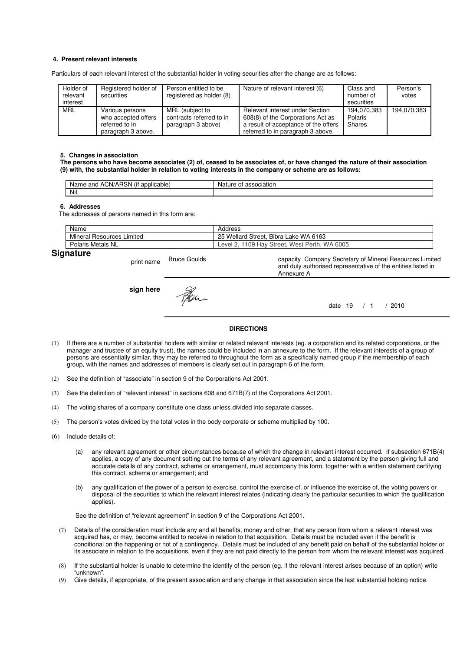# **4. Present relevant interests**

Particulars of each relevant interest of the substantial holder in voting securities after the change are as follows:

| Holder of<br>relevant<br>interest | Registered holder of<br>securities                                             | Person entitled to be<br>registered as holder (8)                 | Nature of relevant interest (6)                                                                                                                   | Class and<br>number of<br>securities | Person's<br>votes |
|-----------------------------------|--------------------------------------------------------------------------------|-------------------------------------------------------------------|---------------------------------------------------------------------------------------------------------------------------------------------------|--------------------------------------|-------------------|
| <b>MRL</b>                        | Various persons<br>who accepted offers<br>referred to in<br>paragraph 3 above. | MRL (subject to<br>contracts referred to in<br>paragraph 3 above) | Relevant interest under Section<br>608(8) of the Corporations Act as<br>a result of acceptance of the offers<br>referred to in paragraph 3 above. | 194.070.383<br>Polaris<br>Shares     | 194,070,383       |

#### **5. Changes in association**

**The persons who have become associates (2) of, ceased to be associates of, or have changed the nature of their association (9) with, the substantial holder in relation to voting interests in the company or scheme are as follows:** 

| $\cdots$<br>ימ<br>ACN/AH<br>and<br>licable:<br>Name<br>ווסו<br>$-1111$<br>. . | ciation<br>Nai.<br>nt |
|-------------------------------------------------------------------------------|-----------------------|
| Nil                                                                           |                       |

#### **6. Addresses**

The addresses of persons named in this form are:

|    | Name                                   | Address                                                                 |
|----|----------------------------------------|-------------------------------------------------------------------------|
|    | Mineral<br>Limited<br><b>Hesources</b> | Bibra Lake WA 6163<br>25<br><b>Wellard Street.</b>                      |
|    | Polaris Metals NL                      | 6005<br><b>WA</b><br>109<br>West<br>Street. V<br>Perth.<br>Hav<br>Level |
| -- |                                        |                                                                         |

# **Signature**

print name Bruce Goulds capacity Company Secretary of Mineral Resources Limited and duly authorised representative of the entities listed in Annexure A **sign here** Fer.

date 19 / 1 / 2010

### **DIRECTIONS**

- (1) If there are a number of substantial holders with similar or related relevant interests (eg. a corporation and its related corporations, or the manager and trustee of an equity trust), the names could be included in an annexure to the form. If the relevant interests of a group of persons are essentially similar, they may be referred to throughout the form as a specifically named group if the membership of each group, with the names and addresses of members is clearly set out in paragraph 6 of the form.
- (2) See the definition of "associate" in section 9 of the Corporations Act 2001.
- (3) See the definition of "relevant interest" in sections 608 and 671B(7) of the Corporations Act 2001.
- (4) The voting shares of a company constitute one class unless divided into separate classes.
- (5) The person's votes divided by the total votes in the body corporate or scheme multiplied by 100.
- (6) Include details of:
	- (a) any relevant agreement or other circumstances because of which the change in relevant interest occurred. If subsection 671B(4) applies, a copy of any document setting out the terms of any relevant agreement, and a statement by the person giving full and accurate details of any contract, scheme or arrangement, must accompany this form, together with a written statement certifying this contract, scheme or arrangement; and
	- (b) any qualification of the power of a person to exercise, control the exercise of, or influence the exercise of, the voting powers or disposal of the securities to which the relevant interest relates (indicating clearly the particular securities to which the qualification applies).

See the definition of "relevant agreement" in section 9 of the Corporations Act 2001.

- (7) Details of the consideration must include any and all benefits, money and other, that any person from whom a relevant interest was acquired has, or may, become entitled to receive in relation to that acquisition. Details must be included even if the benefit is conditional on the happening or not of a contingency. Details must be included of any benefit paid on behalf of the substantial holder or its associate in relation to the acquisitions, even if they are not paid directly to the person from whom the relevant interest was acquired.
- (8) If the substantial holder is unable to determine the identify of the person (eg. if the relevant interest arises because of an option) write "unknown".
- (9) Give details, if appropriate, of the present association and any change in that association since the last substantial holding notice.